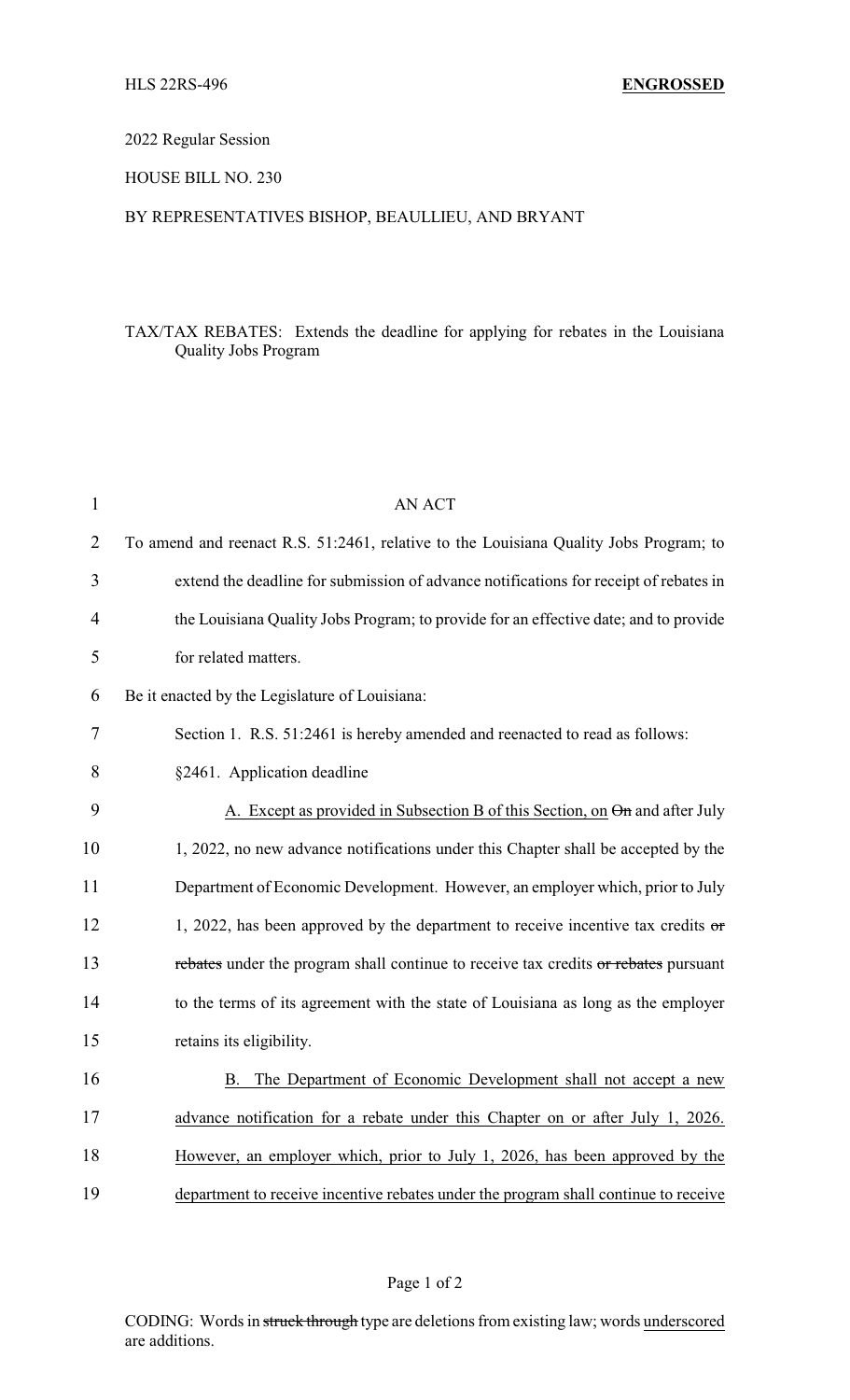# 2022 Regular Session

#### HOUSE BILL NO. 230

# BY REPRESENTATIVES BISHOP, BEAULLIEU, AND BRYANT

# TAX/TAX REBATES: Extends the deadline for applying for rebates in the Louisiana Quality Jobs Program

| $\mathbf{1}$   | <b>AN ACT</b>                                                                          |
|----------------|----------------------------------------------------------------------------------------|
| $\overline{2}$ | To amend and reenact R.S. 51:2461, relative to the Louisiana Quality Jobs Program; to  |
| 3              | extend the deadline for submission of advance notifications for receipt of rebates in  |
| $\overline{4}$ | the Louisiana Quality Jobs Program; to provide for an effective date; and to provide   |
| 5              | for related matters.                                                                   |
| 6              | Be it enacted by the Legislature of Louisiana:                                         |
| 7              | Section 1. R.S. 51:2461 is hereby amended and reenacted to read as follows:            |
| 8              | §2461. Application deadline                                                            |
| 9              | A. Except as provided in Subsection B of this Section, on On and after July            |
| 10             | 1, 2022, no new advance notifications under this Chapter shall be accepted by the      |
| 11             | Department of Economic Development. However, an employer which, prior to July          |
| 12             | 1, 2022, has been approved by the department to receive incentive tax credits $\sigma$ |
| 13             | rebates under the program shall continue to receive tax credits or rebates pursuant    |
| 14             | to the terms of its agreement with the state of Louisiana as long as the employer      |
| 15             | retains its eligibility.                                                               |
| 16             | The Department of Economic Development shall not accept a new<br>$B_{-}$               |
| 17             | advance notification for a rebate under this Chapter on or after July 1, 2026.         |
| 18             | However, an employer which, prior to July 1, 2026, has been approved by the            |
| 19             | department to receive incentive rebates under the program shall continue to receive    |

# Page 1 of 2

CODING: Words in struck through type are deletions from existing law; words underscored are additions.